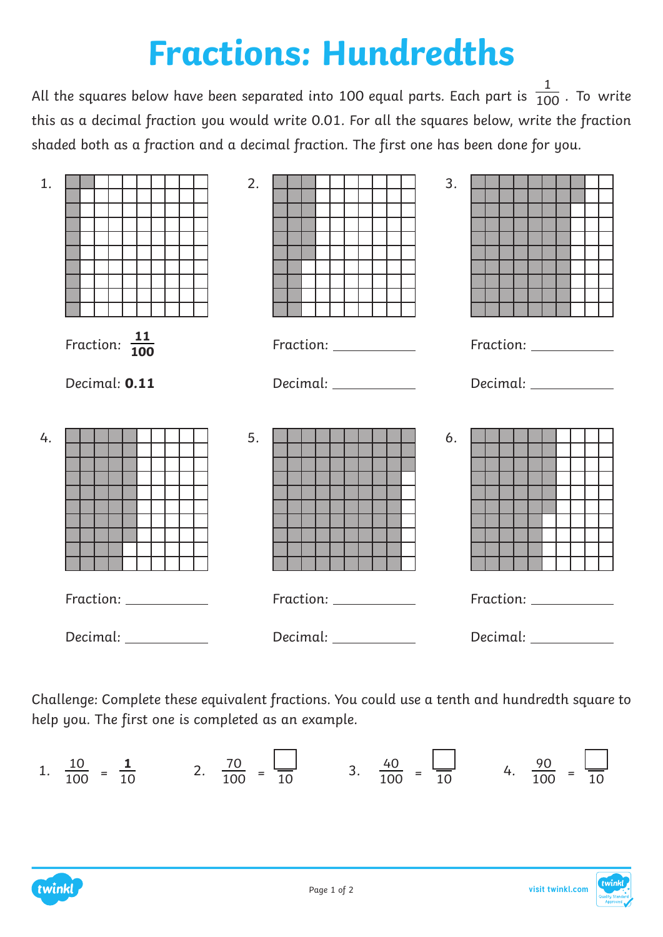## **Fractions: Hundredths**

All the squares below have been separated into 100 equal parts. Each part is  $\frac{1}{100}$  . To write this as a decimal fraction you would write 0.01. For all the squares below, write the fraction shaded both as a fraction and a decimal fraction. The first one has been done for you. 1 100



Challenge: Complete these equivalent fractions. You could use a tenth and hundredth square to help you. The first one is completed as an example.

1. 
$$
\frac{10}{100} = \frac{1}{10}
$$
 2.  $\frac{70}{100} = \frac{1}{10}$  3.  $\frac{40}{100} = \frac{1}{10}$  4.  $\frac{90}{100} = \frac{1}{10}$ 

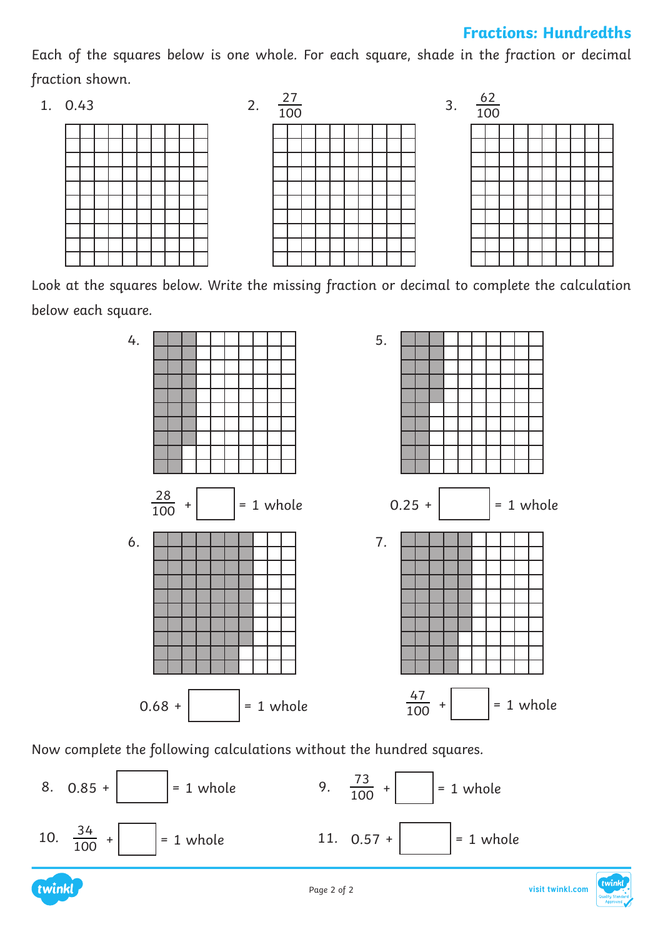## **Fractions: Hundredths**

Each of the squares below is one whole. For each square, shade in the fraction or decimal fraction shown.

1. 0.43







Look at the squares below. Write the missing fraction or decimal to complete the calculation below each square.



Now complete the following calculations without the hundred squares.